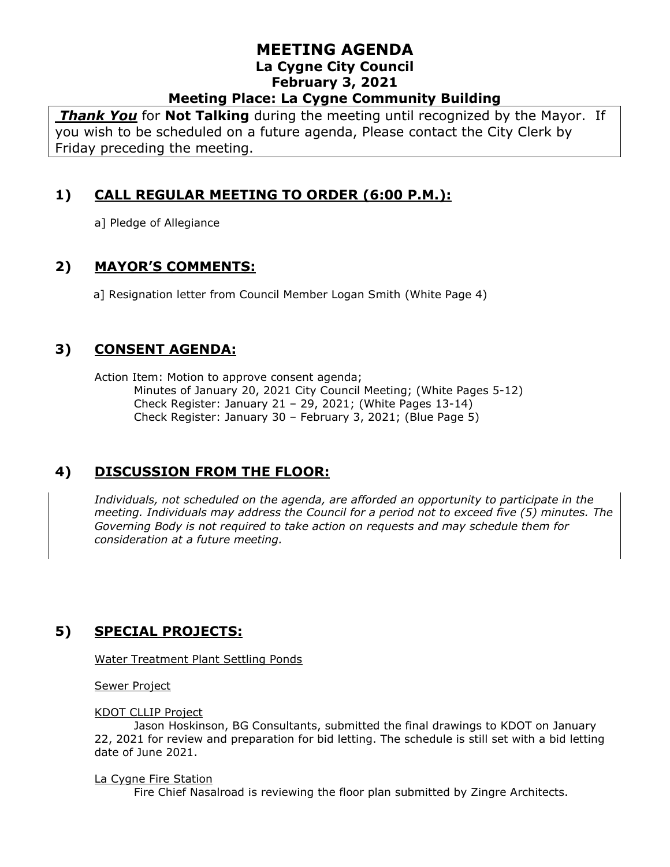*Thank You* for **Not Talking** during the meeting until recognized by the Mayor. If you wish to be scheduled on a future agenda, Please contact the City Clerk by Friday preceding the meeting.

# **1) CALL REGULAR MEETING TO ORDER (6:00 P.M.):**

a] Pledge of Allegiance

## **2) MAYOR'S COMMENTS:**

a] Resignation letter from Council Member Logan Smith (White Page 4)

### **3) CONSENT AGENDA:**

Action Item: Motion to approve consent agenda; Minutes of January 20, 2021 City Council Meeting; (White Pages 5-12) Check Register: January 21 – 29, 2021; (White Pages 13-14) Check Register: January 30 – February 3, 2021; (Blue Page 5)

# **4) DISCUSSION FROM THE FLOOR:**

*Individuals, not scheduled on the agenda, are afforded an opportunity to participate in the meeting. Individuals may address the Council for a period not to exceed five (5) minutes. The Governing Body is not required to take action on requests and may schedule them for consideration at a future meeting.* 

# **5) SPECIAL PROJECTS:**

Water Treatment Plant Settling Ponds

Sewer Project

#### KDOT CLLIP Project

Jason Hoskinson, BG Consultants, submitted the final drawings to KDOT on January 22, 2021 for review and preparation for bid letting. The schedule is still set with a bid letting date of June 2021.

#### La Cygne Fire Station

Fire Chief Nasalroad is reviewing the floor plan submitted by Zingre Architects.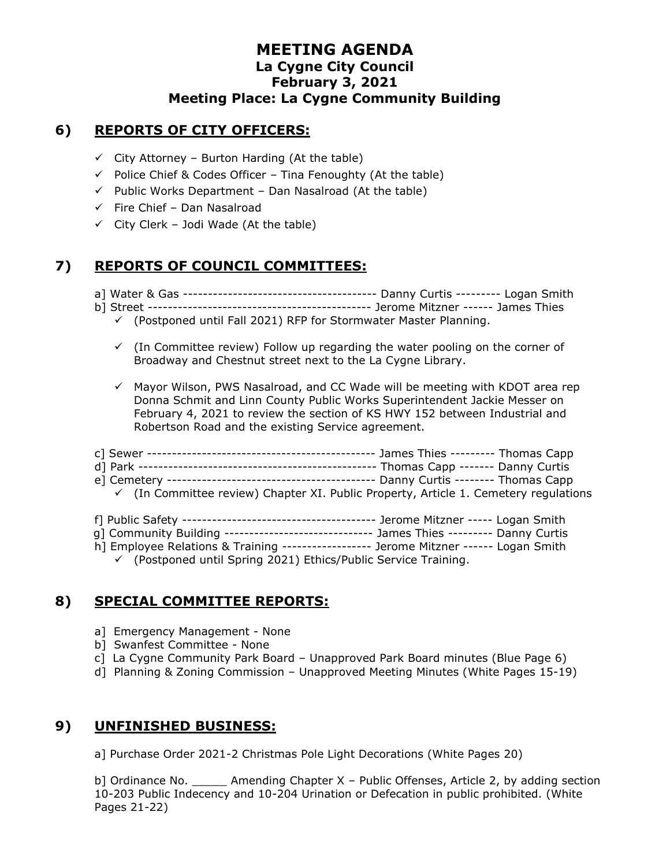## **6) REPORTS OF CITY OFFICERS:**

- $\checkmark$  City Attorney Burton Harding (At the table)
- ✓ Police Chief & Codes Officer Tina Fenoughty (At the table)
- $\checkmark$  Public Works Department Dan Nasalroad (At the table)
- $\checkmark$  Fire Chief Dan Nasalroad
- $\checkmark$  City Clerk Jodi Wade (At the table)

# **7) REPORTS OF COUNCIL COMMITTEES:**

- a] Water & Gas --------------------------------------- Danny Curtis --------- Logan Smith
- b] Street --------------------------------------------- Jerome Mitzner ------ James Thies
	- $\checkmark$  (Postponed until Fall 2021) RFP for Stormwater Master Planning.
	- $\checkmark$  (In Committee review) Follow up regarding the water pooling on the corner of Broadway and Chestnut street next to the La Cygne Library.
	- $\checkmark$  Mayor Wilson, PWS Nasalroad, and CC Wade will be meeting with KDOT area rep Donna Schmit and Linn County Public Works Superintendent Jackie Messer on February 4, 2021 to review the section of KS HWY 152 between Industrial and Robertson Road and the existing Service agreement.
- c] Sewer ---------------------------------------------- James Thies --------- Thomas Capp d] Park ------------------------------------------------ Thomas Capp ------- Danny Curtis e] Cemetery ------------------------------------------ Danny Curtis -------- Thomas Capp  $\checkmark$  (In Committee review) Chapter XI. Public Property, Article 1. Cemetery regulations
- f] Public Safety --------------------------------------- Jerome Mitzner ----- Logan Smith g] Community Building ------------------------------ James Thies --------- Danny Curtis
- h] Employee Relations & Training ------------------ Jerome Mitzner ------ Logan Smith
	- ✓ (Postponed until Spring 2021) Ethics/Public Service Training.

# **8) SPECIAL COMMITTEE REPORTS:**

- a] Emergency Management None
- b] Swanfest Committee None
- c] La Cygne Community Park Board Unapproved Park Board minutes (Blue Page 6)
- d] Planning & Zoning Commission Unapproved Meeting Minutes (White Pages 15-19)

# **9) UNFINISHED BUSINESS:**

a] Purchase Order 2021-2 Christmas Pole Light Decorations (White Pages 20)

b] Ordinance No. \_\_\_\_\_ Amending Chapter X – Public Offenses, Article 2, by adding section 10-203 Public Indecency and 10-204 Urination or Defecation in public prohibited. (White Pages 21-22)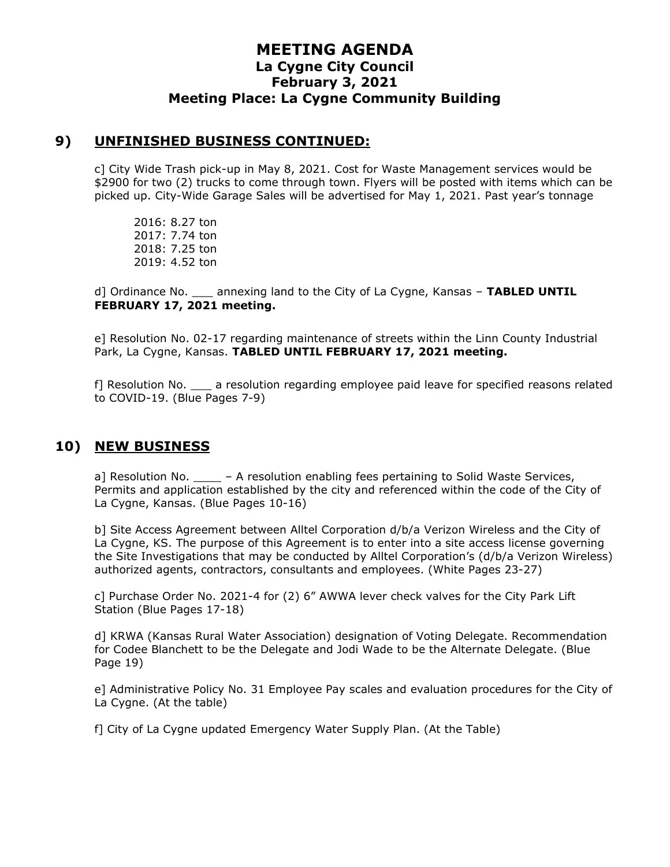### **9) UNFINISHED BUSINESS CONTINUED:**

c] City Wide Trash pick-up in May 8, 2021. Cost for Waste Management services would be \$2900 for two (2) trucks to come through town. Flyers will be posted with items which can be picked up. City-Wide Garage Sales will be advertised for May 1, 2021. Past year's tonnage

2016: 8.27 ton 2017: 7.74 ton 2018: 7.25 ton 2019: 4.52 ton

d] Ordinance No. \_\_\_ annexing land to the City of La Cygne, Kansas – **TABLED UNTIL FEBRUARY 17, 2021 meeting.**

e] Resolution No. 02-17 regarding maintenance of streets within the Linn County Industrial Park, La Cygne, Kansas. **TABLED UNTIL FEBRUARY 17, 2021 meeting.**

f] Resolution No. \_\_\_ a resolution regarding employee paid leave for specified reasons related to COVID-19. (Blue Pages 7-9)

### **10) NEW BUSINESS**

a] Resolution No.  $\overline{\phantom{a}}$  – A resolution enabling fees pertaining to Solid Waste Services, Permits and application established by the city and referenced within the code of the City of La Cygne, Kansas. (Blue Pages 10-16)

b] Site Access Agreement between Alltel Corporation d/b/a Verizon Wireless and the City of La Cygne, KS. The purpose of this Agreement is to enter into a site access license governing the Site Investigations that may be conducted by Alltel Corporation's (d/b/a Verizon Wireless) authorized agents, contractors, consultants and employees. (White Pages 23-27)

c] Purchase Order No. 2021-4 for (2) 6" AWWA lever check valves for the City Park Lift Station (Blue Pages 17-18)

d] KRWA (Kansas Rural Water Association) designation of Voting Delegate. Recommendation for Codee Blanchett to be the Delegate and Jodi Wade to be the Alternate Delegate. (Blue Page 19)

e] Administrative Policy No. 31 Employee Pay scales and evaluation procedures for the City of La Cygne. (At the table)

f] City of La Cygne updated Emergency Water Supply Plan. (At the Table)